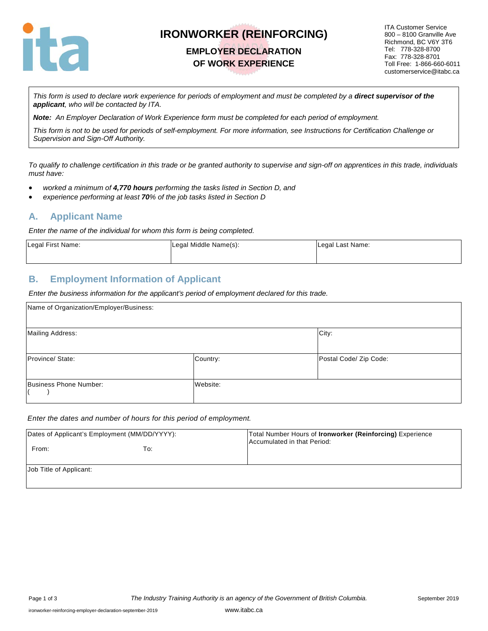

# **IRONWORKER (REINFORCING)**

## **EMPLOYER DECLARATION OF WORK EXPERIENCE**

ITA Customer Service 800 – 8100 Granville Ave Richmond, BC V6Y 3T6 Tel: 778-328-8700 Fax: 778-328-8701 Toll Free: 1-866-660-6011 customerservice@itabc.ca

*This form is used to declare work experience for periods of employment and must be completed by a direct supervisor of the applicant, who will be contacted by ITA.*

*Note: An Employer Declaration of Work Experience form must be completed for each period of employment.*

*This form is not to be used for periods of self-employment. For more information, see Instructions for Certification Challenge or Supervision and Sign-Off Authority.*

*To qualify to challenge certification in this trade or be granted authority to supervise and sign-off on apprentices in this trade, individuals must have:*

- *worked a minimum of 4,770 hours performing the tasks listed in Section D, and*
- *experience performing at least 70% of the job tasks listed in Section D*

#### **A. Applicant Name**

*Enter the name of the individual for whom this form is being completed.*

| Legal First Name: | Legal Middle Name(s): | Legal Last Name: |  |
|-------------------|-----------------------|------------------|--|
|                   |                       |                  |  |

#### **B. Employment Information of Applicant**

*Enter the business information for the applicant's period of employment declared for this trade.*

| Name of Organization/Employer/Business: |          |                        |
|-----------------------------------------|----------|------------------------|
| <b>Mailing Address:</b>                 |          | City:                  |
| Province/State:                         | Country: | Postal Code/ Zip Code: |
| Business Phone Number:                  | Website: |                        |

#### *Enter the dates and number of hours for this period of employment.*

| Dates of Applicant's Employment (MM/DD/YYYY):<br>From: | To: | Total Number Hours of <b>Ironworker (Reinforcing)</b> Experience<br>Accumulated in that Period: |
|--------------------------------------------------------|-----|-------------------------------------------------------------------------------------------------|
| Job Title of Applicant:                                |     |                                                                                                 |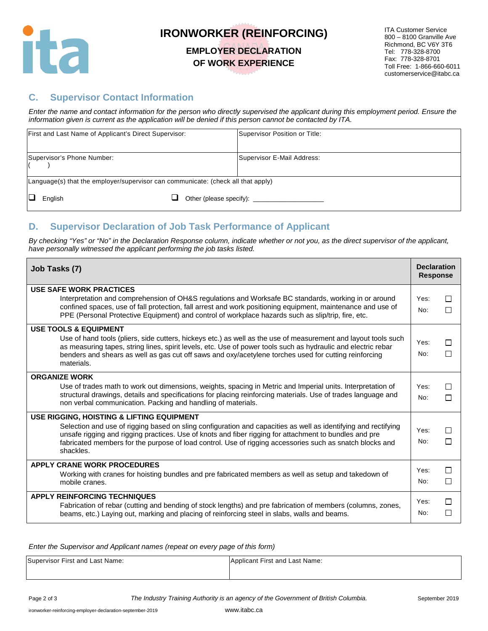

# **IRONWORKER (REINFORCING)**

#### **EMPLOYER DECLARATION OF WORK EXPERIENCE**

ITA Customer Service 800 – 8100 Granville Ave Richmond, BC V6Y 3T6 Tel: 778-328-8700 Fax: 778-328-8701 Toll Free: 1-866-660-6011 customerservice@itabc.ca

#### **C. Supervisor Contact Information**

*Enter the name and contact information for the person who directly supervised the applicant during this employment period. Ensure the information given is current as the application will be denied if this person cannot be contacted by ITA.*

|                                                                                  | First and Last Name of Applicant's Direct Supervisor: |  |  | Supervisor Position or Title: |
|----------------------------------------------------------------------------------|-------------------------------------------------------|--|--|-------------------------------|
|                                                                                  | Supervisor's Phone Number:                            |  |  | Supervisor E-Mail Address:    |
| Language(s) that the employer/supervisor can communicate: (check all that apply) |                                                       |  |  |                               |
| IЦ                                                                               | English                                               |  |  |                               |

### **D. Supervisor Declaration of Job Task Performance of Applicant**

*By checking "Yes" or "No" in the Declaration Response column, indicate whether or not you, as the direct supervisor of the applicant, have personally witnessed the applicant performing the job tasks listed.* 

| Job Tasks (7)                                                                                                                                                                                                                                                                                | <b>Declaration</b><br><b>Response</b> |        |
|----------------------------------------------------------------------------------------------------------------------------------------------------------------------------------------------------------------------------------------------------------------------------------------------|---------------------------------------|--------|
| USE SAFE WORK PRACTICES<br>Interpretation and comprehension of OH&S regulations and Worksafe BC standards, working in or around                                                                                                                                                              | Yes:                                  | П      |
| confined spaces, use of fall protection, fall arrest and work positioning equipment, maintenance and use of<br>PPE (Personal Protective Equipment) and control of workplace hazards such as slip/trip, fire, etc.                                                                            | No:                                   | П      |
| <b>USE TOOLS &amp; EQUIPMENT</b><br>Use of hand tools (pliers, side cutters, hickeys etc.) as well as the use of measurement and layout tools such                                                                                                                                           |                                       |        |
| as measuring tapes, string lines, spirit levels, etc. Use of power tools such as hydraulic and electric rebar<br>benders and shears as well as gas cut off saws and oxy/acetylene torches used for cutting reinforcing<br>materials.                                                         | Yes:<br>No:                           | П<br>П |
| <b>ORGANIZE WORK</b>                                                                                                                                                                                                                                                                         |                                       |        |
| Use of trades math to work out dimensions, weights, spacing in Metric and Imperial units. Interpretation of<br>structural drawings, details and specifications for placing reinforcing materials. Use of trades language and<br>non verbal communication. Packing and handling of materials. | Yes:<br>No:                           | П<br>П |
| USE RIGGING, HOISTING & LIFTING EQUIPMENT                                                                                                                                                                                                                                                    |                                       |        |
| Selection and use of rigging based on sling configuration and capacities as well as identifying and rectifying<br>unsafe rigging and rigging practices. Use of knots and fiber rigging for attachment to bundles and pre                                                                     | Yes:                                  | П      |
| fabricated members for the purpose of load control. Use of rigging accessories such as snatch blocks and<br>shackles.                                                                                                                                                                        | No:                                   | П      |
| <b>APPLY CRANE WORK PROCEDURES</b>                                                                                                                                                                                                                                                           | Yes:                                  | П      |
| Working with cranes for hoisting bundles and pre fabricated members as well as setup and takedown of<br>mobile cranes.                                                                                                                                                                       | No:                                   | □      |
| <b>APPLY REINFORCING TECHNIQUES</b>                                                                                                                                                                                                                                                          |                                       | П      |
| Fabrication of rebar (cutting and bending of stock lengths) and pre fabrication of members (columns, zones,<br>beams, etc.) Laying out, marking and placing of reinforcing steel in slabs, walls and beams.                                                                                  | Yes:<br>No:                           | $\Box$ |

*Enter the Supervisor and Applicant names (repeat on every page of this form)*

| Supervisor First and Last Name: | Applicant First and Last Name: |
|---------------------------------|--------------------------------|
|                                 |                                |